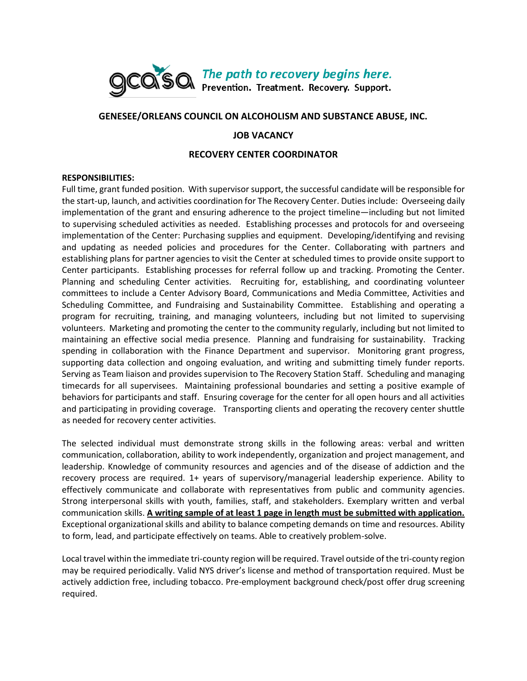

# **GENESEE/ORLEANS COUNCIL ON ALCOHOLISM AND SUBSTANCE ABUSE, INC.**

# **JOB VACANCY**

## **RECOVERY CENTER COORDINATOR**

### **RESPONSIBILITIES:**

Full time, grant funded position. With supervisor support, the successful candidate will be responsible for the start-up, launch, and activities coordination for The Recovery Center. Duties include: Overseeing daily implementation of the grant and ensuring adherence to the project timeline—including but not limited to supervising scheduled activities as needed. Establishing processes and protocols for and overseeing implementation of the Center: Purchasing supplies and equipment. Developing/identifying and revising and updating as needed policies and procedures for the Center. Collaborating with partners and establishing plans for partner agencies to visit the Center at scheduled times to provide onsite support to Center participants. Establishing processes for referral follow up and tracking. Promoting the Center. Planning and scheduling Center activities. Recruiting for, establishing, and coordinating volunteer committees to include a Center Advisory Board, Communications and Media Committee, Activities and Scheduling Committee, and Fundraising and Sustainability Committee. Establishing and operating a program for recruiting, training, and managing volunteers, including but not limited to supervising volunteers. Marketing and promoting the center to the community regularly, including but not limited to maintaining an effective social media presence. Planning and fundraising for sustainability. Tracking spending in collaboration with the Finance Department and supervisor. Monitoring grant progress, supporting data collection and ongoing evaluation, and writing and submitting timely funder reports. Serving as Team liaison and provides supervision to The Recovery Station Staff. Scheduling and managing timecards for all supervisees. Maintaining professional boundaries and setting a positive example of behaviors for participants and staff. Ensuring coverage for the center for all open hours and all activities and participating in providing coverage. Transporting clients and operating the recovery center shuttle as needed for recovery center activities.

The selected individual must demonstrate strong skills in the following areas: verbal and written communication, collaboration, ability to work independently, organization and project management, and leadership. Knowledge of community resources and agencies and of the disease of addiction and the recovery process are required. 1+ years of supervisory/managerial leadership experience. Ability to effectively communicate and collaborate with representatives from public and community agencies. Strong interpersonal skills with youth, families, staff, and stakeholders. Exemplary written and verbal communication skills. **A writing sample of at least 1 page in length must be submitted with application.**  Exceptional organizational skills and ability to balance competing demands on time and resources. Ability to form, lead, and participate effectively on teams. Able to creatively problem-solve.

Local travel within the immediate tri-county region will be required. Travel outside of the tri-county region may be required periodically. Valid NYS driver's license and method of transportation required. Must be actively addiction free, including tobacco. Pre-employment background check/post offer drug screening required.